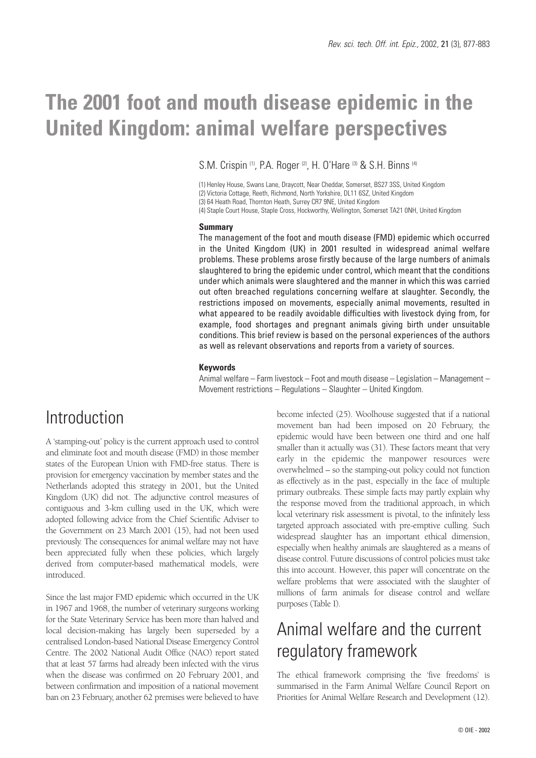# **The 2001 foot and mouth disease epidemic in the United Kingdom: animal welfare perspectives**

S.M. Crispin <sup>(1)</sup>, P.A. Roger<sup>(2)</sup>, H. O'Hare<sup>(3)</sup> & S.H. Binns<sup>(4)</sup>

(1) Henley House, Swans Lane, Draycott, Near Cheddar, Somerset, BS27 3SS, United Kingdom

(2) Victoria Cottage, Reeth, Richmond, North Yorkshire, DL11 6SZ, United Kingdom

(3) 64 Heath Road, Thornton Heath, Surrey CR7 9NE, United Kingdom

(4) Staple Court House, Staple Cross, Hockworthy, Wellington, Somerset TA21 0NH, United Kingdom

### **Summary**

The management of the foot and mouth disease (FMD) epidemic which occurred in the United Kingdom (UK) in 2001 resulted in widespread animal welfare problems. These problems arose firstly because of the large numbers of animals slaughtered to bring the epidemic under control, which meant that the conditions under which animals were slaughtered and the manner in which this was carried out often breached regulations concerning welfare at slaughter. Secondly, the restrictions imposed on movements, especially animal movements, resulted in what appeared to be readily avoidable difficulties with livestock dying from, for example, food shortages and pregnant animals giving birth under unsuitable conditions. This brief review is based on the personal experiences of the authors as well as relevant observations and reports from a variety of sources.

### **Keywords**

Animal welfare – Farm livestock – Foot and mouth disease – Legislation – Management – Movement restrictions – Regulations – Slaughter – United Kingdom.

### Introduction

A 'stamping-out' policy is the current approach used to control and eliminate foot and mouth disease (FMD) in those member states of the European Union with FMD-free status. There is provision for emergency vaccination by member states and the Netherlands adopted this strategy in 2001, but the United Kingdom (UK) did not. The adjunctive control measures of contiguous and 3-km culling used in the UK, which were adopted following advice from the Chief Scientific Adviser to the Government on 23 March 2001 (15), had not been used previously. The consequences for animal welfare may not have been appreciated fully when these policies, which largely derived from computer-based mathematical models, were introduced.

Since the last major FMD epidemic which occurred in the UK in 1967 and 1968, the number of veterinary surgeons working for the State Veterinary Service has been more than halved and local decision-making has largely been superseded by a centralised London-based National Disease Emergency Control Centre. The 2002 National Audit Office (NAO) report stated that at least 57 farms had already been infected with the virus when the disease was confirmed on 20 February 2001, and between confirmation and imposition of a national movement ban on 23 February, another 62 premises were believed to have become infected (25). Woolhouse suggested that if a national movement ban had been imposed on 20 February, the epidemic would have been between one third and one half smaller than it actually was (31). These factors meant that very early in the epidemic the manpower resources were overwhelmed – so the stamping-out policy could not function as effectively as in the past, especially in the face of multiple primary outbreaks. These simple facts may partly explain why the response moved from the traditional approach, in which local veterinary risk assessment is pivotal, to the infinitely less targeted approach associated with pre-emptive culling. Such widespread slaughter has an important ethical dimension, especially when healthy animals are slaughtered as a means of disease control. Future discussions of control policies must take this into account. However, this paper will concentrate on the welfare problems that were associated with the slaughter of millions of farm animals for disease control and welfare purposes (Table I).

# Animal welfare and the current regulatory framework

The ethical framework comprising the 'five freedoms' is summarised in the Farm Animal Welfare Council Report on Priorities for Animal Welfare Research and Development (12).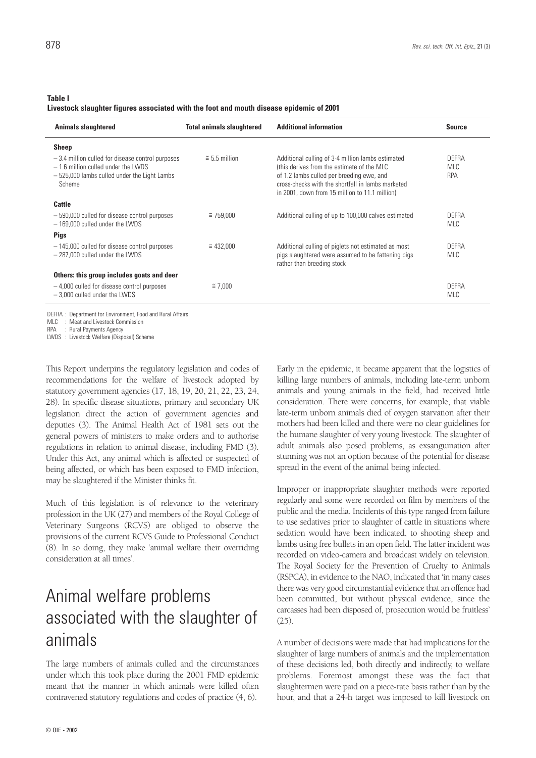#### **Table I**

**Livestock slaughter figures associated with the foot and mouth disease epidemic of 2001**

| <b>Animals slaughtered</b>                                                                                                                           | <b>Total animals slaughtered</b> | <b>Additional information</b>                                                                                                                                                                                                                       | <b>Source</b>              |
|------------------------------------------------------------------------------------------------------------------------------------------------------|----------------------------------|-----------------------------------------------------------------------------------------------------------------------------------------------------------------------------------------------------------------------------------------------------|----------------------------|
| <b>Sheep</b>                                                                                                                                         |                                  |                                                                                                                                                                                                                                                     |                            |
| $-3.4$ million culled for disease control purposes<br>$-1.6$ million culled under the LWDS<br>- 525,000 lambs culled under the Light Lambs<br>Scheme | $\approx$ 5.5 million            | Additional culling of 3-4 million lambs estimated<br>(this derives from the estimate of the MLC<br>of 1.2 lambs culled per breeding ewe, and<br>cross-checks with the shortfall in lambs marketed<br>in 2001, down from 15 million to 11.1 million) | DEFRA<br><b>MLC</b><br>RPA |
| Cattle                                                                                                                                               |                                  |                                                                                                                                                                                                                                                     |                            |
| - 590,000 culled for disease control purposes<br>$-169,000$ culled under the LWDS                                                                    | $\approx$ 759,000                | Additional culling of up to 100,000 calves estimated                                                                                                                                                                                                | DEFRA<br><b>MLC</b>        |
| <b>Pigs</b>                                                                                                                                          |                                  |                                                                                                                                                                                                                                                     |                            |
| -145,000 culled for disease control purposes<br>$-287,000$ culled under the LWDS                                                                     | $\approx 432.000$                | Additional culling of piglets not estimated as most<br>pigs slaughtered were assumed to be fattening pigs<br>rather than breeding stock                                                                                                             | DEFRA<br><b>MLC</b>        |
| Others: this group includes goats and deer                                                                                                           |                                  |                                                                                                                                                                                                                                                     |                            |
| $-4,000$ culled for disease control purposes<br>$-3.000$ culled under the LWDS                                                                       | $\approx 7.000$                  |                                                                                                                                                                                                                                                     | DEFRA<br><b>MLC</b>        |

DEFRA : Department for Environment, Food and Rural Affairs

MLC : Meat and Livestock Commission

RPA : Rural Payments Agency

LWDS : Livestock Welfare (Disposal) Scheme

This Report underpins the regulatory legislation and codes of recommendations for the welfare of livestock adopted by statutory government agencies (17, 18, 19, 20, 21, 22, 23, 24, 28). In specific disease situations, primary and secondary UK legislation direct the action of government agencies and deputies (3). The Animal Health Act of 1981 sets out the general powers of ministers to make orders and to authorise regulations in relation to animal disease, including FMD (3). Under this Act, any animal which is affected or suspected of being affected, or which has been exposed to FMD infection, may be slaughtered if the Minister thinks fit.

Much of this legislation is of relevance to the veterinary profession in the UK (27) and members of the Royal College of Veterinary Surgeons (RCVS) are obliged to observe the provisions of the current RCVS Guide to Professional Conduct (8). In so doing, they make 'animal welfare their overriding consideration at all times'.

# Animal welfare problems associated with the slaughter of animals

The large numbers of animals culled and the circumstances under which this took place during the 2001 FMD epidemic meant that the manner in which animals were killed often contravened statutory regulations and codes of practice (4, 6).

Early in the epidemic, it became apparent that the logistics of killing large numbers of animals, including late-term unborn animals and young animals in the field, had received little consideration. There were concerns, for example, that viable late-term unborn animals died of oxygen starvation after their mothers had been killed and there were no clear guidelines for the humane slaughter of very young livestock. The slaughter of adult animals also posed problems, as exsanguination after stunning was not an option because of the potential for disease spread in the event of the animal being infected.

Improper or inappropriate slaughter methods were reported regularly and some were recorded on film by members of the public and the media. Incidents of this type ranged from failure to use sedatives prior to slaughter of cattle in situations where sedation would have been indicated, to shooting sheep and lambs using free bullets in an open field. The latter incident was recorded on video-camera and broadcast widely on television. The Royal Society for the Prevention of Cruelty to Animals (RSPCA), in evidence to the NAO, indicated that 'in many cases there was very good circumstantial evidence that an offence had been committed, but without physical evidence, since the carcasses had been disposed of, prosecution would be fruitless' (25).

A number of decisions were made that had implications for the slaughter of large numbers of animals and the implementation of these decisions led, both directly and indirectly, to welfare problems. Foremost amongst these was the fact that slaughtermen were paid on a piece-rate basis rather than by the hour, and that a 24-h target was imposed to kill livestock on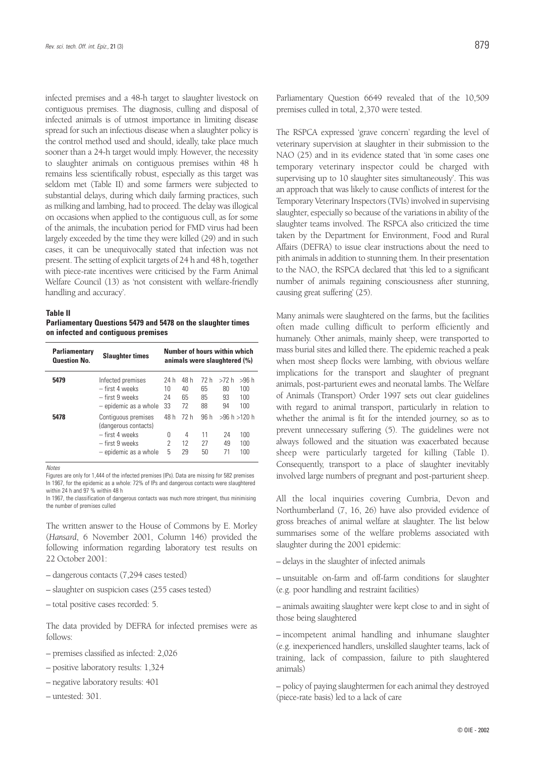infected premises and a 48-h target to slaughter livestock on contiguous premises. The diagnosis, culling and disposal of infected animals is of utmost importance in limiting disease spread for such an infectious disease when a slaughter policy is the control method used and should, ideally, take place much sooner than a 24-h target would imply. However, the necessity to slaughter animals on contiguous premises within 48 h remains less scientifically robust, especially as this target was seldom met (Table II) and some farmers were subjected to substantial delays, during which daily farming practices, such as milking and lambing, had to proceed. The delay was illogical on occasions when applied to the contiguous cull, as for some of the animals, the incubation period for FMD virus had been largely exceeded by the time they were killed (29) and in such cases, it can be unequivocally stated that infection was not present. The setting of explicit targets of 24 h and 48 h, together with piece-rate incentives were criticised by the Farm Animal Welfare Council (13) as 'not consistent with welfare-friendly handling and accuracy'.

#### **Table II**

**Parliamentary Questions 5479 and 5478 on the slaughter times on infected and contiguous premises**

| <b>Parliamentary</b><br><b>Question No.</b> | <b>Slaughter times</b>                                                                                     | Number of hours within which<br>animals were slaughtered (%) |                        |                        |                                 |                            |
|---------------------------------------------|------------------------------------------------------------------------------------------------------------|--------------------------------------------------------------|------------------------|------------------------|---------------------------------|----------------------------|
| 5479                                        | Infected premises<br>- first 4 weeks<br>– first 9 weeks<br>- epidemic as a whole                           | 24 h<br>10<br>24<br>33                                       | 48 h<br>40<br>65<br>72 | 72 h<br>65<br>85<br>88 | >72 h<br>80<br>93<br>94         | >96 h<br>100<br>100<br>100 |
| 5478                                        | Contiguous premises<br>(dangerous contacts)<br>- first 4 weeks<br>– first 9 weeks<br>- epidemic as a whole | 48 h<br>Ŋ<br>2<br>5                                          | 72 h<br>4<br>12<br>29  | 96 h<br>11<br>27<br>50 | >96 h > 120 h<br>24<br>49<br>71 | 100<br>100<br>100          |

*Notes*

Figures are only for 1,444 of the infected premises (IPs). Data are missing for 582 premises In 1967, for the epidemic as a whole: 72% of IPs and dangerous contacts were slaughtered within 24 h and 97 % within 48 h

In 1967, the classification of dangerous contacts was much more stringent, thus minimising the number of premises culled

The written answer to the House of Commons by E. Morley (*Hansard*, 6 November 2001, Column 146) provided the following information regarding laboratory test results on 22 October 2001:

- dangerous contacts (7,294 cases tested)
- slaughter on suspicion cases (255 cases tested)
- total positive cases recorded: 5.

The data provided by DEFRA for infected premises were as follows:

- premises classified as infected: 2,026
- positive laboratory results: 1,324
- negative laboratory results: 401
- untested: 301.

Parliamentary Question 6649 revealed that of the 10,509 premises culled in total, 2,370 were tested.

The RSPCA expressed 'grave concern' regarding the level of veterinary supervision at slaughter in their submission to the NAO (25) and in its evidence stated that 'in some cases one temporary veterinary inspector could be charged with supervising up to 10 slaughter sites simultaneously'. This was an approach that was likely to cause conflicts of interest for the Temporary Veterinary Inspectors (TVIs) involved in supervising slaughter, especially so because of the variations in ability of the slaughter teams involved. The RSPCA also criticized the time taken by the Department for Environment, Food and Rural Affairs (DEFRA) to issue clear instructions about the need to pith animals in addition to stunning them. In their presentation to the NAO, the RSPCA declared that 'this led to a significant number of animals regaining consciousness after stunning, causing great suffering' (25).

Many animals were slaughtered on the farms, but the facilities often made culling difficult to perform efficiently and humanely. Other animals, mainly sheep, were transported to mass burial sites and killed there. The epidemic reached a peak when most sheep flocks were lambing, with obvious welfare implications for the transport and slaughter of pregnant animals, post-parturient ewes and neonatal lambs. The Welfare of Animals (Transport) Order 1997 sets out clear guidelines with regard to animal transport, particularly in relation to whether the animal is fit for the intended journey, so as to prevent unnecessary suffering (5). The guidelines were not always followed and the situation was exacerbated because sheep were particularly targeted for killing (Table I). Consequently, transport to a place of slaughter inevitably involved large numbers of pregnant and post-parturient sheep.

All the local inquiries covering Cumbria, Devon and Northumberland (7, 16, 26) have also provided evidence of gross breaches of animal welfare at slaughter. The list below summarises some of the welfare problems associated with slaughter during the 2001 epidemic:

- delays in the slaughter of infected animals
- unsuitable on-farm and off-farm conditions for slaughter (e.g. poor handling and restraint facilities)
- animals awaiting slaughter were kept close to and in sight of those being slaughtered

– incompetent animal handling and inhumane slaughter (e.g. inexperienced handlers, unskilled slaughter teams, lack of training, lack of compassion, failure to pith slaughtered animals)

– policy of paying slaughtermen for each animal they destroyed (piece-rate basis) led to a lack of care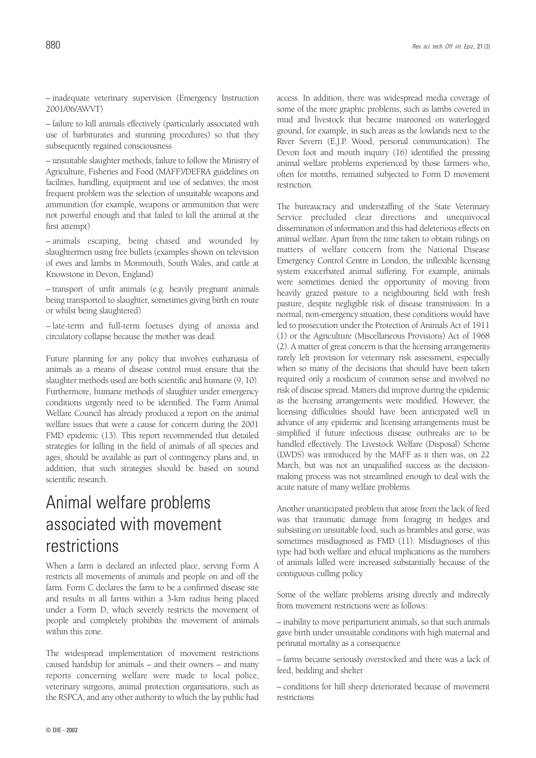– inadequate veterinary supervision (Emergency Instruction 2001/06/AWVT)

– failure to kill animals effectively (particularly associated with use of barbiturates and stunning procedures) so that they subsequently regained consciousness

– unsuitable slaughter methods, failure to follow the Ministry of Agriculture, Fisheries and Food (MAFF)/DEFRA guidelines on facilities, handling, equipment and use of sedatives; the most frequent problem was the selection of unsuitable weapons and ammunition (for example, weapons or ammunition that were not powerful enough and that failed to kill the animal at the first attempt)

– animals escaping, being chased and wounded by slaughtermen using free bullets (examples shown on television of ewes and lambs in Monmouth, South Wales, and cattle at Knowstone in Devon, England)

– transport of unfit animals (e.g. heavily pregnant animals being transported to slaughter, sometimes giving birth en route or whilst being slaughtered)

– late-term and full-term foetuses dying of anoxia and circulatory collapse because the mother was dead.

Future planning for any policy that involves euthanasia of animals as a means of disease control must ensure that the slaughter methods used are both scientific and humane (9, 10). Furthermore, humane methods of slaughter under emergency conditions urgently need to be identified. The Farm Animal Welfare Council has already produced a report on the animal welfare issues that were a cause for concern during the 2001 FMD epidemic (13). This report recommended that detailed strategies for killing in the field of animals of all species and ages, should be available as part of contingency plans and, in addition, that such strategies should be based on sound scientific research.

## Animal welfare problems associated with movement restrictions

When a farm is declared an infected place, serving Form A restricts all movements of animals and people on and off the farm. Form C declares the farm to be a confirmed disease site and results in all farms within a 3-km radius being placed under a Form D, which severely restricts the movement of people and completely prohibits the movement of animals within this zone.

The widespread implementation of movement restrictions caused hardship for animals – and their owners – and many reports concerning welfare were made to local police, veterinary surgeons, animal protection organisations, such as the RSPCA, and any other authority to which the lay public had

access. In addition, there was widespread media coverage of some of the more graphic problems, such as lambs covered in mud and livestock that became marooned on waterlogged ground, for example, in such areas as the lowlands next to the River Severn (E.J.P. Wood, personal communication). The Devon foot and mouth inquiry (16) identified the pressing animal welfare problems experienced by those farmers who, often for months, remained subjected to Form D movement restriction.

The bureaucracy and understaffing of the State Veterinary Service precluded clear directions and unequivocal dissemination of information and this had deleterious effects on animal welfare. Apart from the time taken to obtain rulings on matters of welfare concern from the National Disease Emergency Control Centre in London, the inflexible licensing system exacerbated animal suffering. For example, animals were sometimes denied the opportunity of moving from heavily grazed pasture to a neighbouring field with fresh pasture, despite negligible risk of disease transmission. In a normal, non-emergency situation, these conditions would have led to prosecution under the Protection of Animals Act of 1911 (1) or the Agriculture (Miscellaneous Provisions) Act of 1968 (2). A matter of great concern is that the licensing arrangements rarely left provision for veterinary risk assessment, especially when so many of the decisions that should have been taken required only a modicum of common sense and involved no risk of disease spread. Matters did improve during the epidemic as the licensing arrangements were modified. However, the licensing difficulties should have been anticipated well in advance of any epidemic and licensing arrangements must be simplified if future infectious disease outbreaks are to be handled effectively. The Livestock Welfare (Disposal) Scheme (LWDS) was introduced by the MAFF as it then was, on 22 March, but was not an unqualified success as the decisionmaking process was not streamlined enough to deal with the acute nature of many welfare problems.

Another unanticipated problem that arose from the lack of feed was that traumatic damage from foraging in hedges and subsisting on unsuitable food, such as brambles and gorse, was sometimes misdiagnosed as FMD (11). Misdiagnoses of this type had both welfare and ethical implications as the numbers of animals killed were increased substantially because of the contiguous culling policy.

Some of the welfare problems arising directly and indirectly from movement restrictions were as follows:

– inability to move periparturient animals, so that such animals gave birth under unsuitable conditions with high maternal and perinatal mortality as a consequence

– farms became seriously overstocked and there was a lack of feed, bedding and shelter

– conditions for hill sheep deteriorated because of movement restrictions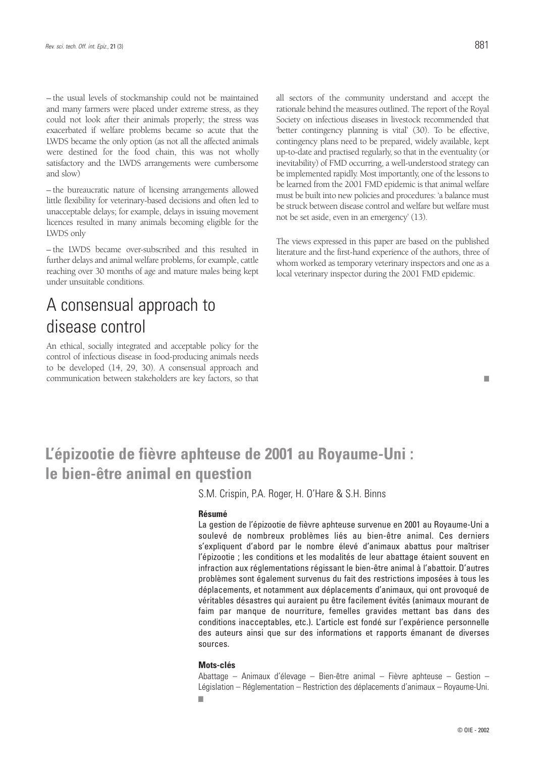– the usual levels of stockmanship could not be maintained and many farmers were placed under extreme stress, as they could not look after their animals properly; the stress was exacerbated if welfare problems became so acute that the LWDS became the only option (as not all the affected animals were destined for the food chain, this was not wholly satisfactory and the LWDS arrangements were cumbersome and slow)

– the bureaucratic nature of licensing arrangements allowed little flexibility for veterinary-based decisions and often led to unacceptable delays; for example, delays in issuing movement licences resulted in many animals becoming eligible for the LWDS only

– the LWDS became over-subscribed and this resulted in further delays and animal welfare problems, for example, cattle reaching over 30 months of age and mature males being kept under unsuitable conditions.

### A consensual approach to disease control

An ethical, socially integrated and acceptable policy for the control of infectious disease in food-producing animals needs to be developed (14, 29, 30). A consensual approach and communication between stakeholders are key factors, so that

■

all sectors of the community understand and accept the rationale behind the measures outlined. The report of the Royal Society on infectious diseases in livestock recommended that 'better contingency planning is vital' (30). To be effective, contingency plans need to be prepared, widely available, kept up-to-date and practised regularly, so that in the eventuality (or inevitability) of FMD occurring, a well-understood strategy can be implemented rapidly. Most importantly, one of the lessons to be learned from the 2001 FMD epidemic is that animal welfare must be built into new policies and procedures: 'a balance must be struck between disease control and welfare but welfare must not be set aside, even in an emergency' (13).

The views expressed in this paper are based on the published literature and the first-hand experience of the authors, three of whom worked as temporary veterinary inspectors and one as a local veterinary inspector during the 2001 FMD epidemic.

### **L'épizootie de fièvre aphteuse de 2001 au Royaume-Uni : le bien-être animal en question**

S.M. Crispin, P.A. Roger, H. O'Hare & S.H. Binns

#### **Résumé**

La gestion de l'épizootie de fièvre aphteuse survenue en 2001 au Royaume-Uni a soulevé de nombreux problèmes liés au bien-être animal. Ces derniers s'expliquent d'abord par le nombre élevé d'animaux abattus pour maîtriser l'épizootie ; les conditions et les modalités de leur abattage étaient souvent en infraction aux réglementations régissant le bien-être animal à l'abattoir. D'autres problèmes sont également survenus du fait des restrictions imposées à tous les déplacements, et notamment aux déplacements d'animaux, qui ont provoqué de véritables désastres qui auraient pu être facilement évités (animaux mourant de faim par manque de nourriture, femelles gravides mettant bas dans des conditions inacceptables, etc.). L'article est fondé sur l'expérience personnelle des auteurs ainsi que sur des informations et rapports émanant de diverses sources.

#### **Mots-clés**

Abattage – Animaux d'élevage – Bien-être animal – Fièvre aphteuse – Gestion – Législation – Réglementation – Restriction des déplacements d'animaux – Royaume-Uni. ■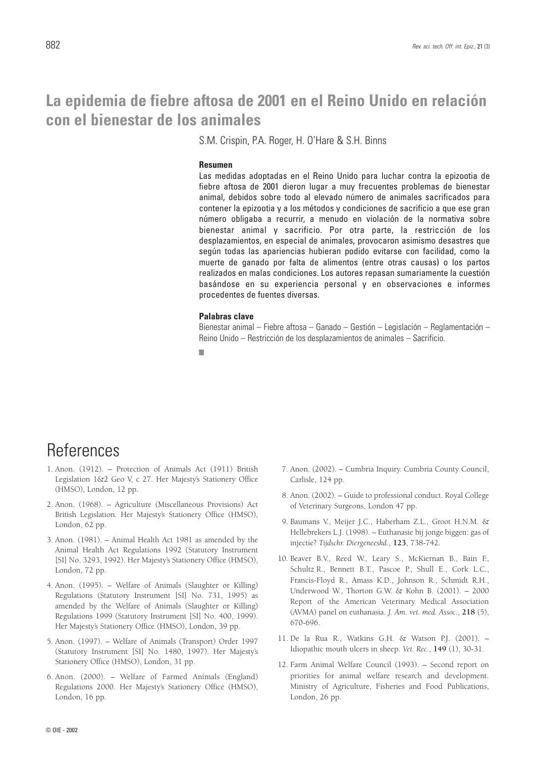### **La epidemia de fiebre aftosa de 2001 en el Reino Unido en relación con el bienestar de los animales**

S.M. Crispin, P.A. Roger, H. O'Hare & S.H. Binns

#### **Resumen**

Las medidas adoptadas en el Reino Unido para luchar contra la epizootia de fiebre aftosa de 2001 dieron lugar a muy frecuentes problemas de bienestar animal, debidos sobre todo al elevado número de animales sacrificados para contener la epizootia y a los métodos y condiciones de sacrificio a que ese gran número obligaba a recurrir, a menudo en violación de la normativa sobre bienestar animal y sacrificio. Por otra parte, la restricción de los desplazamientos, en especial de animales, provocaron asimismo desastres que según todas las apariencias hubieran podido evitarse con facilidad, como la muerte de ganado por falta de alimentos (entre otras causas) o los partos realizados en malas condiciones. Los autores repasan sumariamente la cuestión basándose en su experiencia personal y en observaciones e informes procedentes de fuentes diversas.

### **Palabras clave**

Bienestar animal – Fiebre aftosa – Ganado – Gestión – Legislación – Reglamentación – Reino Unido – Restricción de los desplazamientos de animales – Sacrificio.

■

### **References**

- 1. Anon. (1912). Protection of Animals Act (1911) British Legislation 1&2 Geo V, c 27. Her Majesty's Stationery Office (HMSO), London, 12 pp.
- 2. Anon. (1968). Agriculture (Miscellaneous Provisions) Act British Legislation. Her Majesty's Stationery Office (HMSO), London, 62 pp.
- 3. Anon. (1981). Animal Health Act 1981 as amended by the Animal Health Act Regulations 1992 (Statutory Instrument [SI] No. 3293, 1992). Her Majesty's Stationery Office (HMSO), London, 72 pp.
- 4. Anon. (1995). Welfare of Animals (Slaughter or Killing) Regulations (Statutory Instrument [SI] No. 731, 1995) as amended by the Welfare of Animals (Slaughter or Killing) Regulations 1999 (Statutory Instrument [SI] No. 400, 1999). Her Majesty's Stationery Office (HMSO), London, 39 pp.
- 5. Anon. (1997). Welfare of Animals (Transport) Order 1997 (Statutory Instrument [SI] No. 1480, 1997). Her Majesty's Stationery Office (HMSO), London, 31 pp.
- 6. Anon. (2000). Welfare of Farmed Animals (England) Regulations 2000. Her Majesty's Stationery Office (HMSO), London, 16 pp.
- 7. Anon. (2002). Cumbria Inquiry. Cumbria County Council, Carlisle, 124 pp.
- 8. Anon. (2002). Guide to professional conduct. Royal College of Veterinary Surgeons, London 47 pp.
- 9. Baumans V., Meijer J.C., Haberham Z.L., Groot H.N.M. & Hellebrekers L.J. (1998). – Euthanasie bij jonge biggen: gas of injectie? *Tijdschr. Diergeneeskd.*, **123**, 738-742.
- 10. Beaver B.V., Reed W., Leary S., McKiernan B., Bain F., Schultz R., Bennett B.T., Pascoe P., Shull E., Cork L.C., Francis-Floyd R., Amass K.D., Johnson R., Schmidt R.H., Underwood W., Thorton G.W. & Kohn B. (2001). – 2000 Report of the American Veterinary Medical Association (AVMA) panel on euthanasia. *J. Am. vet. med. Assoc.*, **218** (5), 670-696.
- 11. De la Rua R., Watkins G.H. & Watson P.J. (2001). Idiopathic mouth ulcers in sheep. *Vet. Rec.*, **149** (1), 30-31.
- 12. Farm Animal Welfare Council (1993). Second report on priorities for animal welfare research and development. Ministry of Agriculture, Fisheries and Food Publications, London, 26 pp.